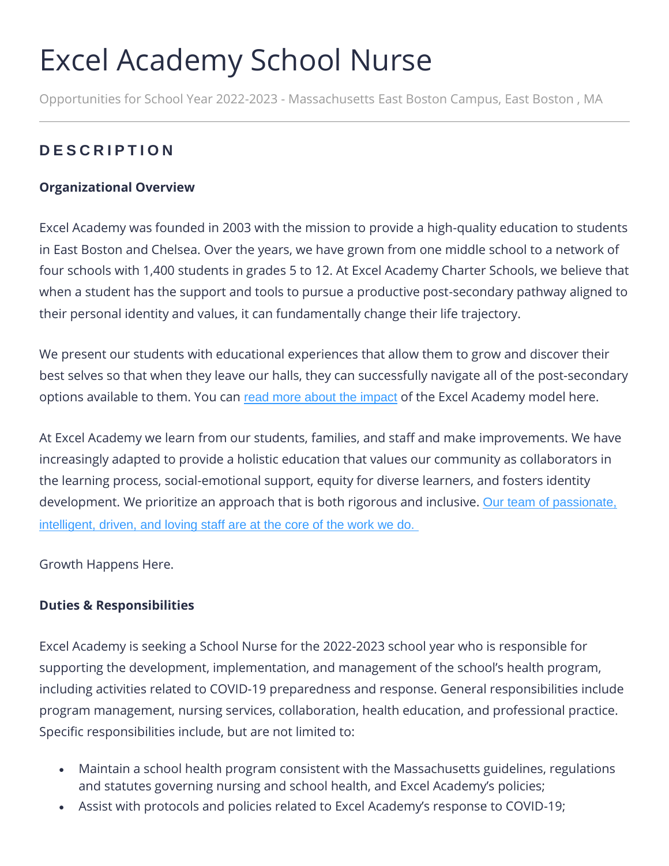# Excel Academy School Nurse

Opportunities for School Year 2022-2023 - Massachusetts East Boston Campus, East Boston , MA

## **D E S C R I P T I O N**

### **Organizational Overview**

Excel Academy was founded in 2003 with the mission to provide a high-quality education to students in East Boston and Chelsea. Over the years, we have grown from one middle school to a network of four schools with 1,400 students in grades 5 to 12. At Excel Academy Charter Schools, we believe that when a student has the support and tools to pursue a productive post-secondary pathway aligned to their personal identity and values, it can fundamentally change their life trajectory.

We present our students with educational experiences that allow them to grow and discover their best selves so that when they leave our halls, they can successfully navigate all of the post-secondary options available to them. You can [read more about the impact](https://www.excelacademy.org/impact/) of the Excel Academy model here.

At Excel Academy we learn from our students, families, and staff and make improvements. We have increasingly adapted to provide a holistic education that values our community as collaborators in the learning process, social-emotional support, equity for diverse learners, and fosters identity development. We prioritize an approach that is both rigorous and inclusive. Our team of passionate, [intelligent, driven, and loving staff are at the core of the work we do.](https://www.youtube.com/watch?v=rmmxqJrKZEM&t=2s)

Growth Happens Here.

#### **Duties & Responsibilities**

Excel Academy is seeking a School Nurse for the 2022-2023 school year who is responsible for supporting the development, implementation, and management of the school's health program, including activities related to COVID-19 preparedness and response. General responsibilities include program management, nursing services, collaboration, health education, and professional practice. Specific responsibilities include, but are not limited to:

- Maintain a school health program consistent with the Massachusetts guidelines, regulations and statutes governing nursing and school health, and Excel Academy's policies;
- Assist with protocols and policies related to Excel Academy's response to COVID-19;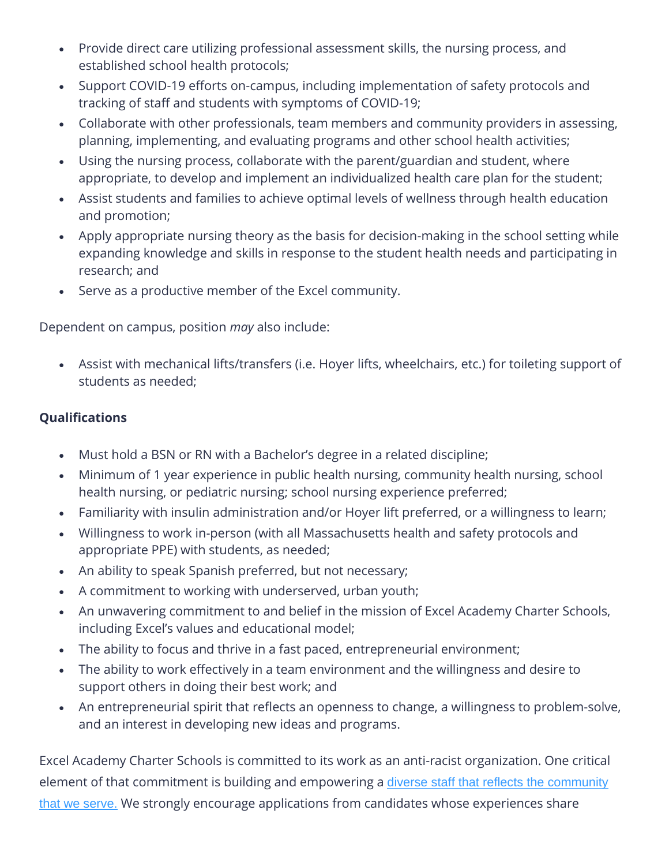- Provide direct care utilizing professional assessment skills, the nursing process, and established school health protocols;
- Support COVID-19 efforts on-campus, including implementation of safety protocols and tracking of staff and students with symptoms of COVID-19;
- Collaborate with other professionals, team members and community providers in assessing, planning, implementing, and evaluating programs and other school health activities;
- Using the nursing process, collaborate with the parent/guardian and student, where appropriate, to develop and implement an individualized health care plan for the student;
- Assist students and families to achieve optimal levels of wellness through health education and promotion;
- Apply appropriate nursing theory as the basis for decision-making in the school setting while expanding knowledge and skills in response to the student health needs and participating in research; and
- Serve as a productive member of the Excel community.

Dependent on campus, position *may* also include:

• Assist with mechanical lifts/transfers (i.e. Hoyer lifts, wheelchairs, etc.) for toileting support of students as needed;

### **Qualifications**

- Must hold a BSN or RN with a Bachelor's degree in a related discipline;
- Minimum of 1 year experience in public health nursing, community health nursing, school health nursing, or pediatric nursing; school nursing experience preferred;
- Familiarity with insulin administration and/or Hoyer lift preferred, or a willingness to learn;
- Willingness to work in-person (with all Massachusetts health and safety protocols and appropriate PPE) with students, as needed;
- An ability to speak Spanish preferred, but not necessary;
- A commitment to working with underserved, urban youth;
- An unwavering commitment to and belief in the mission of Excel Academy Charter Schools, including Excel's values and educational model;
- The ability to focus and thrive in a fast paced, entrepreneurial environment;
- The ability to work effectively in a team environment and the willingness and desire to support others in doing their best work; and
- An entrepreneurial spirit that reflects an openness to change, a willingness to problem-solve, and an interest in developing new ideas and programs.

Excel Academy Charter Schools is committed to its work as an anti-racist organization. One critical element of that commitment is building and empowering a diverse staff that reflects the community [that we serve.](https://www.youtube.com/watch?v=2qp7p5Pq7aU&feature=youtu.be) We strongly encourage applications from candidates whose experiences share